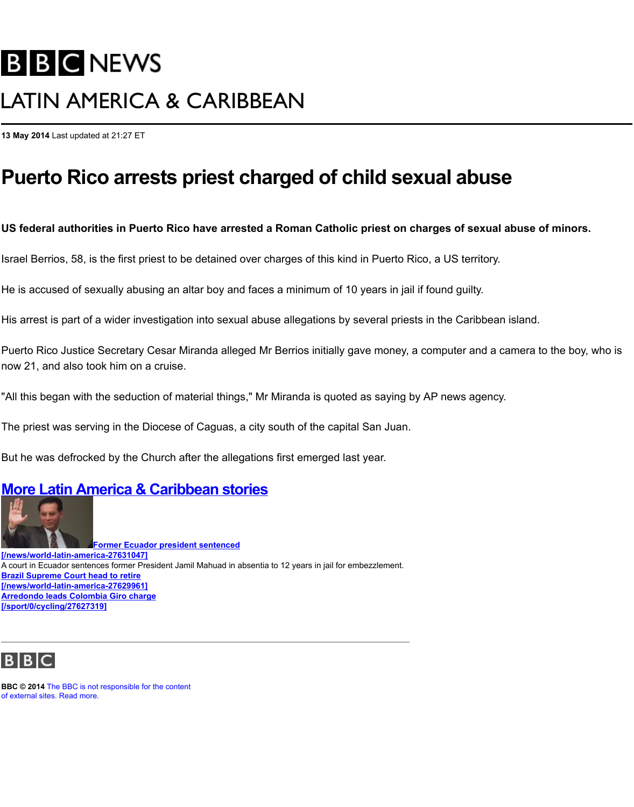His arrest is part of a wider investigation into sexual abuse allegations by several

Puerto Rico Justice Secretary Cesar Miranda alleged Mr Berrios initially gave mo now 21, and also took him on a cruise.

"All this began with the seduction of material things," Mr Miranda is quoted as say

The priest was serving in the Diocese of Caguas, a city south of the capital San J

But he was defrocked by the Church after the allegations first emerged last year.

## **More Latin America & Caribbean stories**



**Former Ecuador president sentenced**

**[/news/world-latin-america-27631047]** A court in Ecuador sentences former President Jamil Mahuad in absentia to 12 years in jail for embezzlem **Brazil Supreme Court head to retire [/news/world-latin-america-27629961] Arredondo leads Colombia Giro charge [/sport/0/cycling/27627319]**



**BBC © 2014** The BBC is not responsible for the content of external sites. Read more.